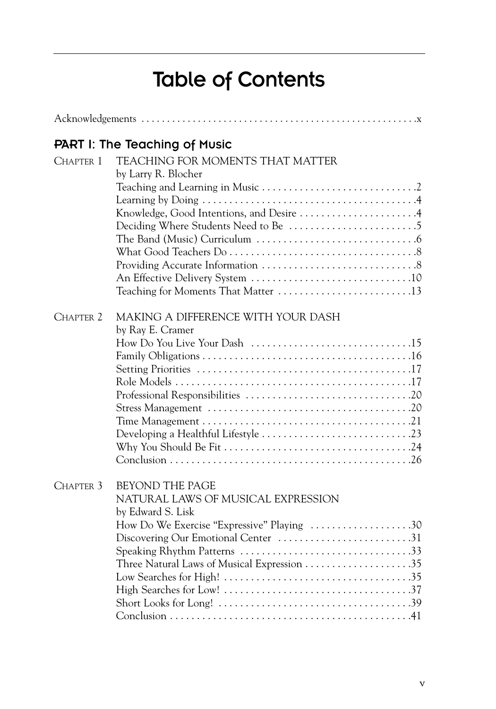## Table of Contents

|                      | <b>PART I: The Teaching of Music</b>       |  |  |  |
|----------------------|--------------------------------------------|--|--|--|
| CHAPTER 1            | TEACHING FOR MOMENTS THAT MATTER           |  |  |  |
|                      | by Larry R. Blocher                        |  |  |  |
|                      |                                            |  |  |  |
|                      |                                            |  |  |  |
|                      | Knowledge, Good Intentions, and Desire 4   |  |  |  |
|                      |                                            |  |  |  |
|                      |                                            |  |  |  |
|                      |                                            |  |  |  |
|                      |                                            |  |  |  |
|                      |                                            |  |  |  |
|                      | Teaching for Moments That Matter 13        |  |  |  |
|                      |                                            |  |  |  |
| CHAPTER <sub>2</sub> | MAKING A DIFFERENCE WITH YOUR DASH         |  |  |  |
|                      | by Ray E. Cramer                           |  |  |  |
|                      |                                            |  |  |  |
|                      |                                            |  |  |  |
|                      |                                            |  |  |  |
|                      |                                            |  |  |  |
|                      |                                            |  |  |  |
|                      |                                            |  |  |  |
|                      |                                            |  |  |  |
|                      |                                            |  |  |  |
|                      |                                            |  |  |  |
|                      |                                            |  |  |  |
|                      |                                            |  |  |  |
| CHAPTER 3            | <b>BEYOND THE PAGE</b>                     |  |  |  |
|                      | NATURAL LAWS OF MUSICAL EXPRESSION         |  |  |  |
|                      | by Edward S. Lisk                          |  |  |  |
|                      | How Do We Exercise "Expressive" Playing 30 |  |  |  |
|                      | Discovering Our Emotional Center 31        |  |  |  |
|                      |                                            |  |  |  |
|                      |                                            |  |  |  |
|                      |                                            |  |  |  |
|                      |                                            |  |  |  |
|                      |                                            |  |  |  |
|                      |                                            |  |  |  |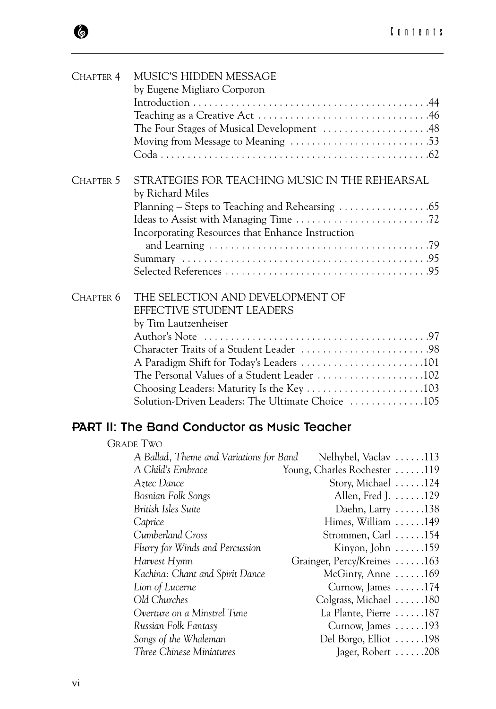| CHAPTER 4        | MUSIC'S HIDDEN MESSAGE                                             |  |  |
|------------------|--------------------------------------------------------------------|--|--|
|                  | by Eugene Migliaro Corporon                                        |  |  |
|                  |                                                                    |  |  |
|                  |                                                                    |  |  |
|                  | The Four Stages of Musical Development 48                          |  |  |
|                  |                                                                    |  |  |
|                  |                                                                    |  |  |
| CHAPTER 5        | STRATEGIES FOR TEACHING MUSIC IN THE REHEARSAL<br>by Richard Miles |  |  |
|                  |                                                                    |  |  |
|                  |                                                                    |  |  |
|                  | Incorporating Resources that Enhance Instruction                   |  |  |
|                  |                                                                    |  |  |
|                  |                                                                    |  |  |
| CHAPTER 6        | THE SELECTION AND DEVELOPMENT OF                                   |  |  |
|                  | EFFECTIVE STUDENT LEADERS                                          |  |  |
|                  | by Tim Lautzenheiser                                               |  |  |
|                  |                                                                    |  |  |
|                  | Character Traits of a Student Leader 98                            |  |  |
|                  |                                                                    |  |  |
|                  | The Personal Values of a Student Leader 102                        |  |  |
|                  |                                                                    |  |  |
|                  | Solution-Driven Leaders: The Ultimate Choice 105                   |  |  |
|                  | <b>PART II: The Band Conductor as Music Teacher</b>                |  |  |
|                  |                                                                    |  |  |
| <b>GRADE TWO</b> |                                                                    |  |  |

| A Ballad, Theme and Variations for Band | Nelhybel, Vaclav 113                |  |
|-----------------------------------------|-------------------------------------|--|
| A Child's Embrace                       | Young, Charles Rochester 119        |  |
| Aztec Dance                             | Story, Michael $\dots$ . 124        |  |
| Bosnian Folk Songs                      | Allen, Fred J. 129                  |  |
| British Isles Suite                     | Daehn, Larry $\dots$ .138           |  |
| Caprice                                 | Himes, William $\ldots \ldots$ .149 |  |
| Cumberland Cross                        | Strommen, Carl $\dots$ .154         |  |
| Flurry for Winds and Percussion         | Kinyon, John $\dots$ . 159          |  |
| Harvest Hymn                            | Grainger, Percy/Kreines 163         |  |
| Kachina: Chant and Spirit Dance         | McGinty, Anne $\dots \dots 169$     |  |
| Lion of Lucerne                         | Curnow, James $\dots$ . 174         |  |
| Old Churches                            | Colgrass, Michael $\dots$ . 180     |  |
| Overture on a Minstrel Tune             | La Plante, Pierre $\dots$ .187      |  |
| Russian Folk Fantasy                    | Curnow, James $\dots$ . 193         |  |
| Songs of the Whaleman                   | Del Borgo, Elliot 198               |  |
| Three Chinese Miniatures                | Jager, Robert $\ldots \ldots 208$   |  |
|                                         |                                     |  |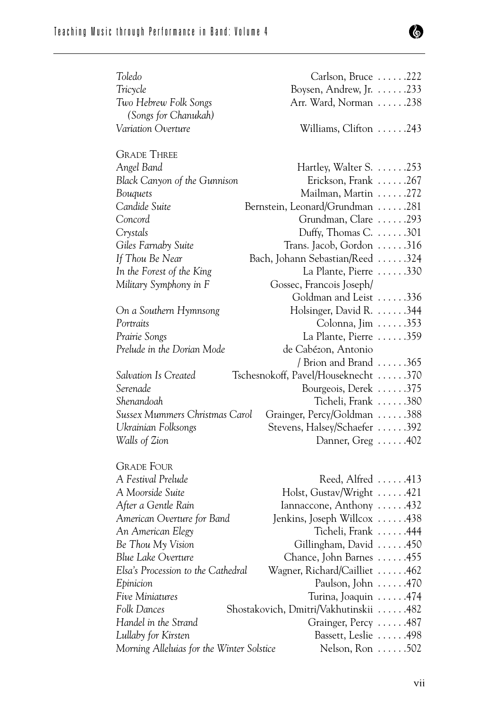## Teaching Music through Performance in Band: Volume 4

| Toledo                                                           | Carlson, Bruce $\dots$ . 222                     |
|------------------------------------------------------------------|--------------------------------------------------|
| Tricycle                                                         | Boysen, Andrew, Jr. 233                          |
| Two Hebrew Folk Songs                                            | Arr. Ward, Norman 238                            |
| (Songs for Chanukah)                                             |                                                  |
| Variation Overture                                               | Williams, Clifton $\dots$ .243                   |
| <b>GRADE THREE</b>                                               |                                                  |
| Angel Band                                                       | Hartley, Walter S. $\dots$ 253                   |
| Black Canyon of the Gunnison                                     | Erickson, Frank 267                              |
| Bouquets                                                         | Mailman, Martin 272                              |
| Candide Suite                                                    | Bernstein, Leonard/Grundman 281                  |
| Concord                                                          | Grundman, Clare 293                              |
| Crystals                                                         | Duffy, Thomas C. $\dots$ .301                    |
| Giles Farnaby Suite                                              | Trans. Jacob, Gordon 316                         |
| If Thou Be Near                                                  | Bach, Johann Sebastian/Reed 324                  |
| In the Forest of the King                                        | La Plante, Pierre 330                            |
| Military Symphony in F                                           | Gossec, Francois Joseph/                         |
|                                                                  | Goldman and Leist 336                            |
| On a Southern Hymnsong                                           | Holsinger, David R. 344                          |
| Portraits                                                        | Colonna, Jim $\ldots$ .353                       |
| Prairie Songs                                                    | La Plante, Pierre $\ldots \ldots$ 359            |
| Prelude in the Dorian Mode                                       | de Cabézon, Antonio                              |
|                                                                  | / Brion and Brand $\dots \dots 365$              |
|                                                                  |                                                  |
| Salvation Is Created                                             |                                                  |
| Serenade                                                         | Tschesnokoff, Pavel/Houseknecht 370              |
| Shenandoah                                                       | Bourgeois, Derek 375                             |
| Sussex Mummers Christmas Carol                                   | Ticheli, Frank 380                               |
|                                                                  | Grainger, Percy/Goldman 388                      |
| Ukrainian Folksongs                                              | Stevens, Halsey/Schaefer 392                     |
| Walls of Zion                                                    | Danner, Greg 402                                 |
| <b>GRADE FOUR</b>                                                |                                                  |
| A Festival Prelude                                               | Reed, Alfred 413                                 |
| A Moorside Suite                                                 | Holst, Gustav/Wright 421                         |
| After a Gentle Rain                                              | Iannaccone, Anthony 432                          |
| American Overture for Band                                       | Jenkins, Joseph Willcox 438                      |
| An American Elegy                                                | Ticheli, Frank 444                               |
| Be Thou My Vision                                                | Gillingham, David 450                            |
| <b>Blue Lake Overture</b>                                        | Chance, John Barnes 455                          |
| Elsa's Procession to the Cathedral                               | Wagner, Richard/Cailliet 462                     |
| Epinicion                                                        | Paulson, John $\ldots$ 470                       |
| Five Miniatures                                                  | Turina, Joaquin 474                              |
| Folk Dances                                                      | Shostakovich, Dmitri/Vakhutinskii 482            |
| Handel in the Strand                                             | Grainger, Percy 487                              |
| Lullaby for Kirsten<br>Morning Alleluias for the Winter Solstice | Bassett, Leslie 498<br>Nelson, Ron $\ldots$ .502 |

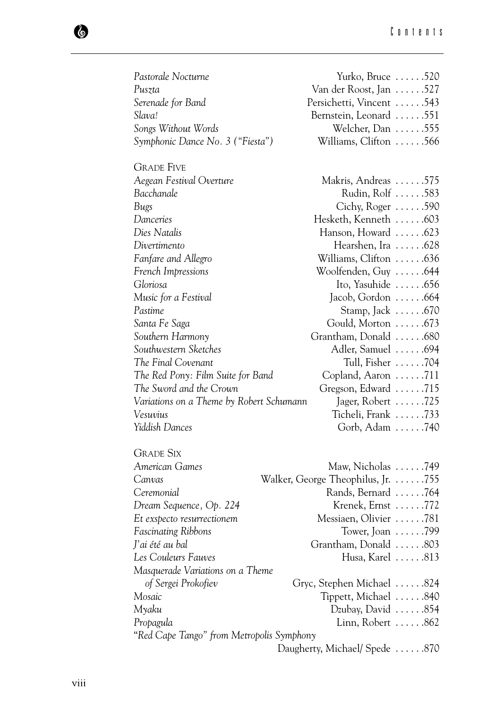| Pastorale Nocturne                        | Yurko, Bruce $\dots$ .520                    |  |  |  |
|-------------------------------------------|----------------------------------------------|--|--|--|
| Puszta                                    | Van der Roost, Jan 527                       |  |  |  |
| Serenade for Band                         | Persichetti, Vincent 543                     |  |  |  |
| Slava!                                    | Bernstein, Leonard 551                       |  |  |  |
| Songs Without Words                       | Welcher, Dan $\ldots \ldots$ .555            |  |  |  |
| Symphonic Dance No. 3 ("Fiesta")          | Williams, Clifton 566                        |  |  |  |
| <b>GRADE FIVE</b>                         |                                              |  |  |  |
| Aegean Festival Overture                  | Makris, Andreas 575                          |  |  |  |
| Bacchanale                                | Rudin, Rolf  583                             |  |  |  |
| Bugs                                      | Cichy, Roger $\dots$ .590                    |  |  |  |
| Danceries                                 | Hesketh, Kenneth 603                         |  |  |  |
| Dies Natalis                              | Hanson, Howard 623                           |  |  |  |
| Divertimento                              | Hearshen, Ira 628                            |  |  |  |
| Fanfare and Allegro                       | Williams, Clifton $\ldots \ldots$ .636       |  |  |  |
| French Impressions                        | Woolfenden, Guy 644                          |  |  |  |
| Gloriosa                                  | Ito, Yasuhide 656                            |  |  |  |
| Music for a Festival                      | Jacob, Gordon 664                            |  |  |  |
| Pastime                                   | Stamp, Jack $\dots$ .670                     |  |  |  |
| Santa Fe Saga                             | Gould, Morton 673                            |  |  |  |
| Southern Harmony                          | Grantham, Donald 680                         |  |  |  |
| Southwestern Sketches                     | Adler, Samuel 694                            |  |  |  |
| The Final Covenant                        | Tull, Fisher 704                             |  |  |  |
| The Red Pony: Film Suite for Band         | Copland, Aaron 711                           |  |  |  |
| The Sword and the Crown                   | Gregson, Edward 715                          |  |  |  |
| Variations on a Theme by Robert Schumann  | Jager, Robert 725                            |  |  |  |
| Vesuvius                                  | Ticheli, Frank $\ldots \ldots$ . 733         |  |  |  |
| Yiddish Dances                            | Gorb, Adam 740                               |  |  |  |
| <b>GRADE SIX</b>                          |                                              |  |  |  |
| American Games                            | Maw, Nicholas 749                            |  |  |  |
| Canvas                                    | Walker, George Theophilus, Jr. $\dots$ . 755 |  |  |  |
| Ceremonial                                | Rands, Bernard 764                           |  |  |  |
| Dream Sequence, Op. 224                   | Krenek, Ernst 772                            |  |  |  |
| Et exspecto resurrectionem                | Messiaen, Olivier 781                        |  |  |  |
| <b>Fascinating Ribbons</b>                | Tower, Joan $\ldots$ . 799                   |  |  |  |
| J'ai été au bal                           | Grantham, Donald 803                         |  |  |  |
| Les Couleurs Fauves                       | Husa, Karel 813                              |  |  |  |
| Masquerade Variations on a Theme          |                                              |  |  |  |
| of Sergei Prokofiev                       | Gryc, Stephen Michael 824                    |  |  |  |
| Mosaic                                    | Tippett, Michael 840                         |  |  |  |
| Myaku                                     | Dzubay, David $\ldots \ldots$ .854           |  |  |  |
| Propagula                                 | Linn, Robert $\ldots$ .862                   |  |  |  |
| "Red Cape Tango" from Metropolis Symphony |                                              |  |  |  |
|                                           | Daugherty, Michael/ Spede 870                |  |  |  |